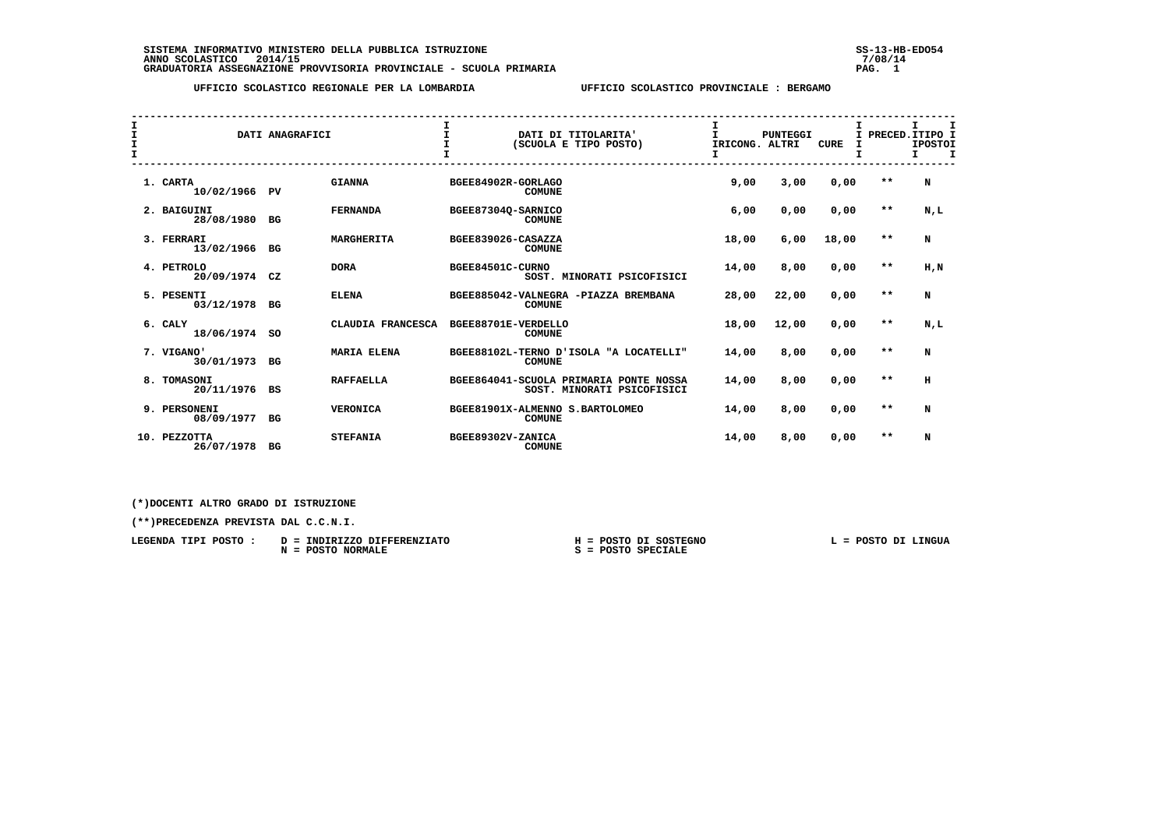**SISTEMA INFORMATIVO MINISTERO DELLA PUBBLICA ISTRUZIONE SS-13-HB-EDO54 ANNO SCOLASTICO 2014/15 7/08/14 GRADUATORIA ASSEGNAZIONE PROVVISORIA PROVINCIALE - SCUOLA PRIMARIA PAG. 1**

 **UFFICIO SCOLASTICO REGIONALE PER LA LOMBARDIA UFFICIO SCOLASTICO PROVINCIALE : BERGAMO**

| I<br>$\frac{1}{1}$ |          |                               | DATI ANAGRAFICI |                   | $\mathbf{I}$<br>$\mathbf{r}$ |               | DATI DI TITOLARITA'<br>(SCUOLA E TIPO POSTO)                         | I<br>T.<br>IRICONG. ALTRI | PUNTEGGI | <b>CURE</b> | I<br>т |       | I<br>I PRECED. ITIPO I<br><b>IPOSTOI</b><br>Τ.<br>т |
|--------------------|----------|-------------------------------|-----------------|-------------------|------------------------------|---------------|----------------------------------------------------------------------|---------------------------|----------|-------------|--------|-------|-----------------------------------------------------|
|                    | 1. CARTA | 10/02/1966 PV                 |                 | <b>GIANNA</b>     | BGEE84902R-GORLAGO           | <b>COMUNE</b> |                                                                      | 9,00                      | 3,00     | 0,00        |        | $* *$ | N                                                   |
|                    |          | 2. BAIGUINI<br>28/08/1980     | BG              | <b>FERNANDA</b>   | BGEE87304Q-SARNICO           | <b>COMUNE</b> |                                                                      | 6,00                      | 0,00     | 0,00        |        | $* *$ | N,L                                                 |
|                    |          | 3. FERRARI<br>13/02/1966      | BG              | <b>MARGHERITA</b> | BGEE839026-CASAZZA           | <b>COMUNE</b> |                                                                      | 18,00                     | 6,00     | 18,00       |        | $* *$ | N                                                   |
|                    |          | 4. PETROLO<br>20/09/1974      | CZ              | <b>DORA</b>       | BGEE84501C-CURNO             |               | SOST. MINORATI PSICOFISICI                                           | 14,00                     | 8,00     | 0,00        |        | $* *$ | H.N                                                 |
|                    |          | 5. PESENTI<br>03/12/1978      | BG              | <b>ELENA</b>      |                              | <b>COMUNE</b> | BGEE885042-VALNEGRA -PIAZZA BREMBANA                                 | 28,00                     | 22,00    | 0,00        |        | $* *$ | N                                                   |
|                    | 6. CALY  | 18/06/1974                    | <b>SO</b>       | CLAUDIA FRANCESCA | BGEE88701E-VERDELLO          | <b>COMUNE</b> |                                                                      | 18,00                     | 12,00    | 0,00        |        | $* *$ | N,L                                                 |
|                    |          | 7. VIGANO'<br>30/01/1973      | BG              | MARIA ELENA       |                              | <b>COMUNE</b> | BGEE88102L-TERNO D'ISOLA "A LOCATELLI"                               | 14,00                     | 8,00     | 0,00        |        | $* *$ | N                                                   |
|                    | 8.       | TOMASONI<br>20/11/1976        | BS              | <b>RAFFAELLA</b>  |                              |               | BGEE864041-SCUOLA PRIMARIA PONTE NOSSA<br>SOST. MINORATI PSICOFISICI | 14,00                     | 8,00     | 0,00        |        | $* *$ | H                                                   |
|                    |          | 9. PERSONENI<br>08/09/1977    | BG              | <b>VERONICA</b>   |                              | <b>COMUNE</b> | BGEE81901X-ALMENNO S.BARTOLOMEO                                      | 14,00                     | 8,00     | 0,00        |        | $* *$ | N                                                   |
|                    | 10.      | <b>PEZZOTTA</b><br>26/07/1978 | BG              | <b>STEFANIA</b>   | BGEE89302V-ZANICA            | <b>COMUNE</b> |                                                                      | 14,00                     | 8,00     | 0,00        |        | $* *$ | N                                                   |

 **(\*)DOCENTI ALTRO GRADO DI ISTRUZIONE**

| LEGENDA TIPI POSTO : | D = INDIRIZZO DIFFERENZIATO   | H = POSTO DI SOSTEGNO | POSTO DI LINGUA |
|----------------------|-------------------------------|-----------------------|-----------------|
|                      | <b>POSTO NORMALE</b><br>$N =$ | $S = POSTO SPECIALE$  |                 |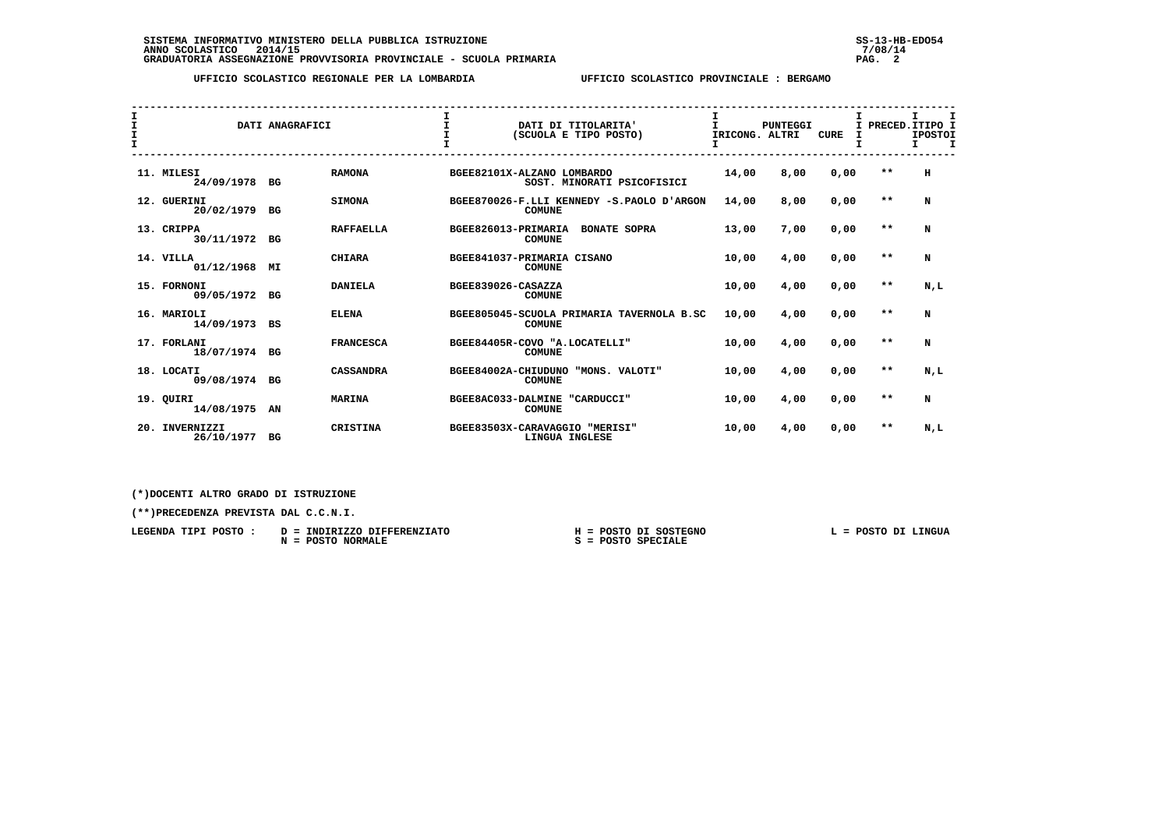| I<br>$\frac{1}{1}$ |                              | DATI ANAGRAFICI |                  | $\mathbf I$                |               | DATI DI TITOLARITA'<br>(SCUOLA E TIPO POSTO)     | $\mathbf{I}$<br>IRICONG. ALTRI | <b>PUNTEGGI</b> | <b>CURE</b> | I PRECED. ITIPO I | I.<br><b>IPOSTOI</b><br>Τ. | I |
|--------------------|------------------------------|-----------------|------------------|----------------------------|---------------|--------------------------------------------------|--------------------------------|-----------------|-------------|-------------------|----------------------------|---|
|                    | 11. MILESI<br>24/09/1978 BG  |                 | <b>RAMONA</b>    | BGEE82101X-ALZANO LOMBARDO |               | SOST. MINORATI PSICOFISICI                       | 14,00                          | 8,00            | 0,00        | $* *$             | н                          |   |
|                    | 12. GUERINI<br>20/02/1979 BG |                 | <b>SIMONA</b>    |                            | <b>COMUNE</b> | BGEE870026-F.LLI KENNEDY -S.PAOLO D'ARGON        | 14,00                          | 8,00            | 0,00        | $* *$             | N                          |   |
|                    | 13. CRIPPA<br>30/11/1972 BG  |                 | <b>RAFFAELLA</b> | BGEE826013-PRIMARIA        | <b>COMUNE</b> | <b>BONATE SOPRA</b>                              | 13,00                          | 7,00            | 0,00        | $* *$             | N                          |   |
|                    | 14. VILLA<br>01/12/1968      | MI              | <b>CHIARA</b>    | BGEE841037-PRIMARIA CISANO | <b>COMUNE</b> |                                                  | 10,00                          | 4,00            | 0,00        | $***$             | N                          |   |
|                    | 15. FORNONI<br>09/05/1972 BG |                 | <b>DANIELA</b>   | BGEE839026-CASAZZA         | <b>COMUNE</b> |                                                  | 10,00                          | 4,00            | 0,00        | $* *$             | N.L                        |   |
|                    | 16. MARIOLI<br>14/09/1973    | BS              | <b>ELENA</b>     |                            | <b>COMUNE</b> | BGEE805045-SCUOLA PRIMARIA TAVERNOLA B.SC        | 10,00                          | 4,00            | 0,00        | $* *$             | N                          |   |
|                    | 17. FORLANI<br>18/07/1974 BG |                 | <b>FRANCESCA</b> |                            | <b>COMUNE</b> | BGEE84405R-COVO "A.LOCATELLI"                    | 10,00                          | 4,00            | 0,00        | $* *$             | N                          |   |
|                    | 18. LOCATI<br>09/08/1974 BG  |                 | <b>CASSANDRA</b> | BGEE84002A-CHIUDUNO        | <b>COMUNE</b> | "MONS. VALOTI"                                   | 10,00                          | 4,00            | 0,00        | $* *$             | N,L                        |   |
|                    | 19. OUIRI<br>14/08/1975 AN   |                 | <b>MARINA</b>    |                            | <b>COMUNE</b> | BGEE8AC033-DALMINE "CARDUCCI"                    | 10,00                          | 4,00            | 0,00        | $* *$             | N                          |   |
| 20.                | INVERNIZZI<br>26/10/1977     | BG              | <b>CRISTINA</b>  |                            |               | BGEE83503X-CARAVAGGIO "MERISI"<br>LINGUA INGLESE | 10,00                          | 4,00            | 0,00        | $* *$             | N,L                        |   |

 **(\*)DOCENTI ALTRO GRADO DI ISTRUZIONE**

 **(\*\*)PRECEDENZA PREVISTA DAL C.C.N.I.**

 **LEGENDA TIPI POSTO : D = INDIRIZZO DIFFERENZIATO H = POSTO DI SOSTEGNO L = POSTO DI LINGUA N = POSTO NORMALE S = POSTO SPECIALE**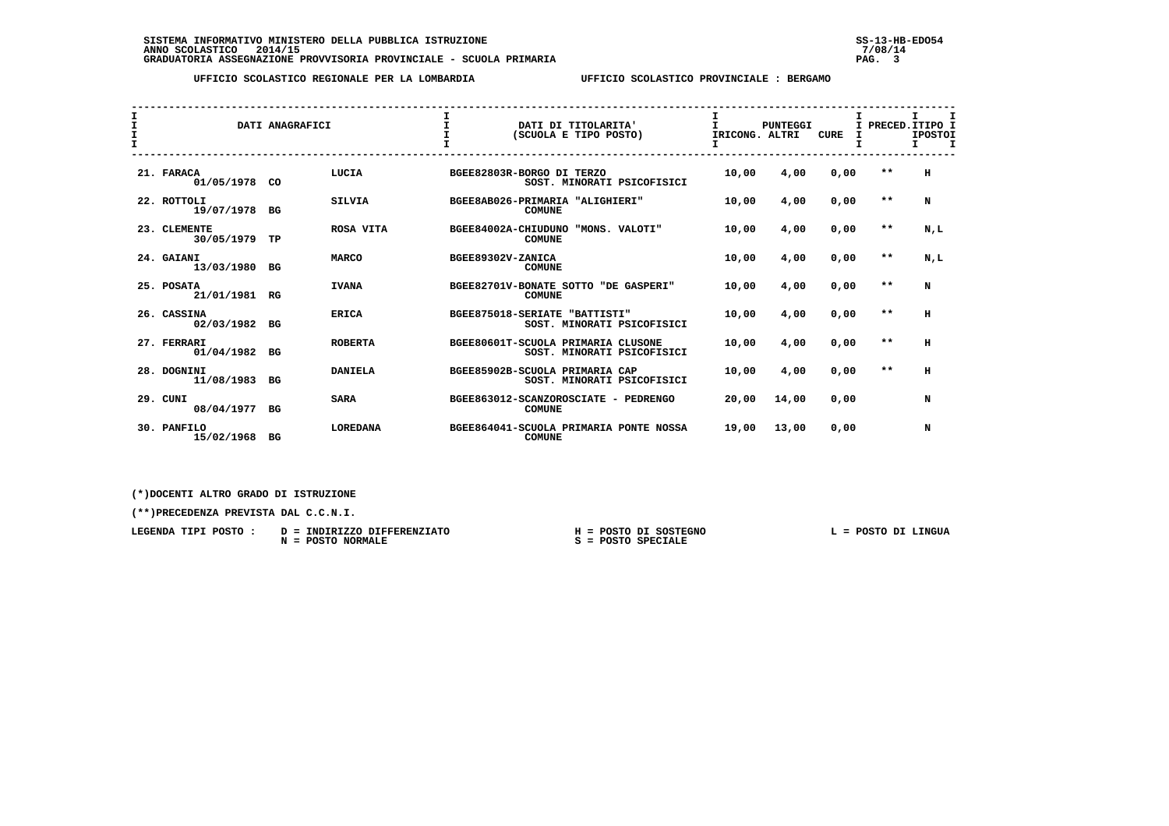| I<br>$\frac{1}{1}$ |                              | DATI ANAGRAFICI |                 | $\mathbf{I}$                  |               | DATI DI TITOLARITA'<br>(SCUOLA E TIPO POSTO)                     | $\mathbf{I}$<br>IRICONG. ALTRI | <b>PUNTEGGI</b> | <b>CURE</b> |       | I.<br>I PRECED. ITIPO I<br><b>IPOSTOI</b><br>$\mathbf{T}$<br>Τ. |
|--------------------|------------------------------|-----------------|-----------------|-------------------------------|---------------|------------------------------------------------------------------|--------------------------------|-----------------|-------------|-------|-----------------------------------------------------------------|
|                    | 21. FARACA<br>01/05/1978 CO  |                 | LUCIA           | BGEE82803R-BORGO DI TERZO     |               | SOST. MINORATI PSICOFISICI                                       | 10,00                          | 4,00            | 0,00        | $* *$ | н                                                               |
|                    | 22. ROTTOLI<br>19/07/1978 BG |                 | <b>SILVIA</b>   |                               | <b>COMUNE</b> | BGEE8AB026-PRIMARIA "ALIGHIERI"                                  | 10,00                          | 4,00            | 0,00        | $* *$ | N                                                               |
|                    | 23. CLEMENTE<br>30/05/1979   | TP              | ROSA VITA       | BGEE84002A-CHIUDUNO           | <b>COMUNE</b> | "MONS. VALOTI"                                                   | 10,00                          | 4,00            | 0,00        | $***$ | N,L                                                             |
|                    | 24. GAIANI<br>13/03/1980 BG  |                 | <b>MARCO</b>    | BGEE89302V-ZANICA             | <b>COMUNE</b> |                                                                  | 10,00                          | 4,00            | 0,00        | $* *$ | N.L                                                             |
|                    | 25. POSATA<br>21/01/1981 RG  |                 | <b>IVANA</b>    | BGEE82701V-BONATE SOTTO       | <b>COMUNE</b> | "DE GASPERI"                                                     | 10,00                          | 4,00            | 0,00        | $* *$ | N                                                               |
|                    | 26. CASSINA<br>02/03/1982 BG |                 | <b>ERICA</b>    | BGEE875018-SERIATE "BATTISTI" |               | SOST. MINORATI PSICOFISICI                                       | 10,00                          | 4,00            | 0,00        | $* *$ | н                                                               |
|                    | 27. FERRARI<br>01/04/1982    | BG              | <b>ROBERTA</b>  |                               |               | BGEE80601T-SCUOLA PRIMARIA CLUSONE<br>SOST. MINORATI PSICOFISICI | 10,00                          | 4,00            | 0,00        | $* *$ | н                                                               |
|                    | 28. DOGNINI<br>11/08/1983    | BG              | <b>DANIELA</b>  |                               |               | BGEE85902B-SCUOLA PRIMARIA CAP<br>SOST. MINORATI PSICOFISICI     | 10,00                          | 4,00            | 0,00        | $* *$ | н                                                               |
|                    | 29. CUNI<br>08/04/1977       | BG              | <b>SARA</b>     |                               | <b>COMUNE</b> | BGEE863012-SCANZOROSCIATE - PEDRENGO                             | 20,00                          | 14,00           | 0,00        |       | N                                                               |
|                    | 30. PANFILO<br>15/02/1968    | BG              | <b>LOREDANA</b> |                               | <b>COMUNE</b> | BGEE864041-SCUOLA PRIMARIA PONTE NOSSA                           | 19,00                          | 13,00           | 0,00        |       | N                                                               |

 **(\*)DOCENTI ALTRO GRADO DI ISTRUZIONE**

| LEGENDA TIPI<br>POSTO | INDIRIZZO DIFFERENZIATO<br>$D =$ | POSTO DI SOSTEGNO | LINGUA<br>דמ<br>POSTO |
|-----------------------|----------------------------------|-------------------|-----------------------|
|                       | <b>NORMALE</b><br><b>POSTO</b>   | POSTO SPECIALE    |                       |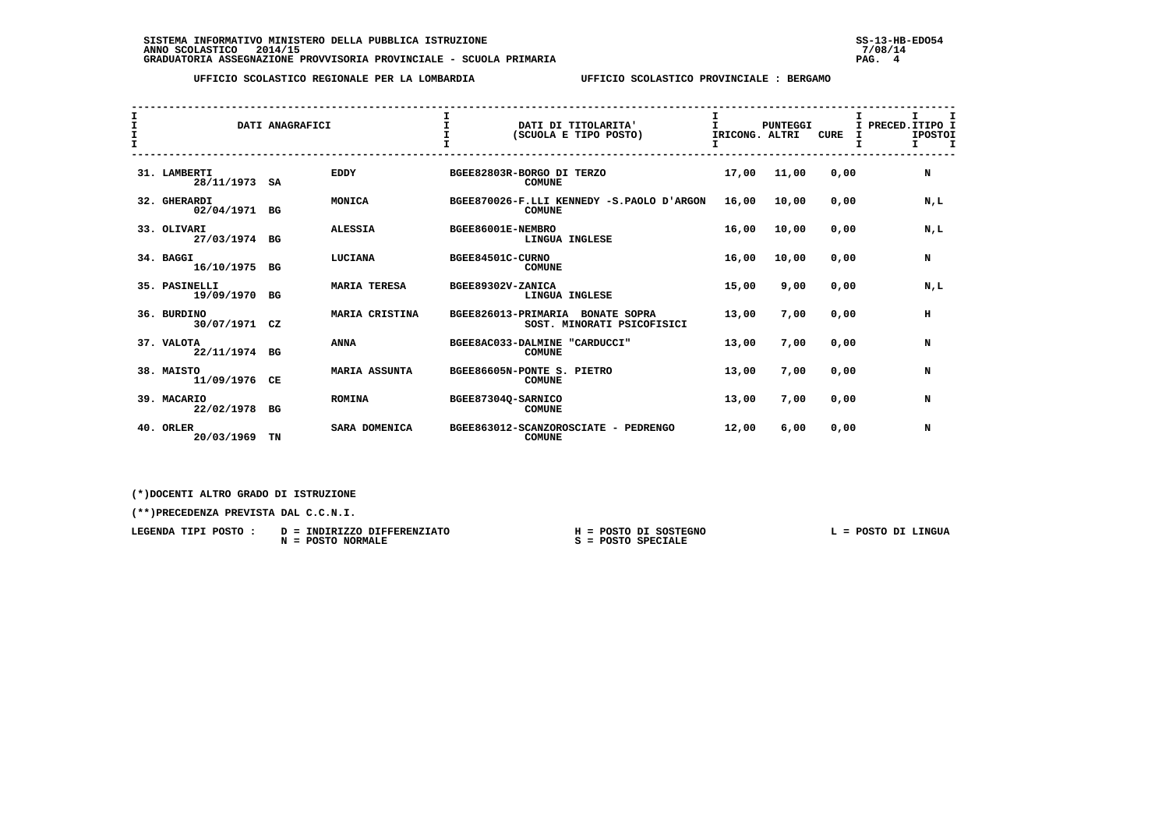|                                              | DATI ANAGRAFICI               |    |                      | $\mathbf{T}$                  |                |                                                   | I                    |                 |             |                   | I.                   | $\mathbf I$ |
|----------------------------------------------|-------------------------------|----|----------------------|-------------------------------|----------------|---------------------------------------------------|----------------------|-----------------|-------------|-------------------|----------------------|-------------|
| $\mathbf{I}$<br>$\mathbf{I}$<br>$\mathbf{T}$ |                               |    |                      |                               |                | DATI DI TITOLARITA'<br>(SCUOLA E TIPO POSTO)      | T.<br>IRICONG. ALTRI | <b>PUNTEGGI</b> | <b>CURE</b> | I PRECED. ITIPO I | <b>IPOSTOI</b><br>I. | $\mathbf I$ |
|                                              | 31. LAMBERTI<br>28/11/1973 SA |    | <b>EDDY</b>          | BGEE82803R-BORGO DI TERZO     | <b>COMUNE</b>  |                                                   | 17,00                | 11,00           | 0.00        |                   | N                    |             |
|                                              | 32. GHERARDI<br>02/04/1971 BG |    | MONICA               |                               | <b>COMUNE</b>  | BGEE870026-F.LLI KENNEDY -S.PAOLO D'ARGON         | 16,00                | 10,00           | 0.00        |                   | N,L                  |             |
|                                              | 33. OLIVARI<br>27/03/1974 BG  |    | <b>ALESSIA</b>       | BGEE86001E-NEMBRO             | LINGUA INGLESE |                                                   | 16,00                | 10,00           | 0,00        |                   | N.L                  |             |
|                                              | 34. BAGGI<br>16/10/1975 BG    |    | LUCIANA              | BGEE84501C-CURNO              | <b>COMUNE</b>  |                                                   | 16,00                | 10,00           | 0.00        |                   | N                    |             |
|                                              | 35. PASINELLI<br>19/09/1970   | BG | <b>MARIA TERESA</b>  | BGEE89302V-ZANICA             | LINGUA INGLESE |                                                   | 15,00                | 9,00            | 0,00        |                   | N.L                  |             |
|                                              | 36. BURDINO<br>30/07/1971 CZ  |    | MARIA CRISTINA       | BGEE826013-PRIMARIA           |                | <b>BONATE SOPRA</b><br>SOST. MINORATI PSICOFISICI | 13,00                | 7,00            | 0,00        |                   | н                    |             |
|                                              | 37. VALOTA<br>22/11/1974 BG   |    | <b>ANNA</b>          | BGEE8AC033-DALMINE "CARDUCCI" | <b>COMUNE</b>  |                                                   | 13,00                | 7,00            | 0,00        |                   | N                    |             |
|                                              | 38. MAISTO<br>11/09/1976 CE   |    | <b>MARIA ASSUNTA</b> | BGEE86605N-PONTE S. PIETRO    | <b>COMUNE</b>  |                                                   | 13,00                | 7,00            | 0,00        |                   | N                    |             |
|                                              | 39. MACARIO<br>22/02/1978 BG  |    | <b>ROMINA</b>        | BGEE87304Q-SARNICO            | <b>COMUNE</b>  |                                                   | 13,00                | 7,00            | 0,00        |                   | N                    |             |
|                                              | 40. ORLER<br>20/03/1969       | TN | SARA DOMENICA        | BGEE863012-SCANZOROSCIATE     | <b>COMUNE</b>  | - PEDRENGO                                        | 12,00                | 6,00            | 0,00        |                   | N                    |             |

 **(\*)DOCENTI ALTRO GRADO DI ISTRUZIONE**

| LEGENDA TIPI<br>POSTO | INDIRIZZO DIFFERENZIATO<br>$D =$ | POSTO DI SOSTEGNO | <b>LINGUA</b><br><b>POSTO</b><br>דמ |
|-----------------------|----------------------------------|-------------------|-------------------------------------|
|                       | <b>NORMALE</b><br>POSTO          | POSTO SPECIALE    |                                     |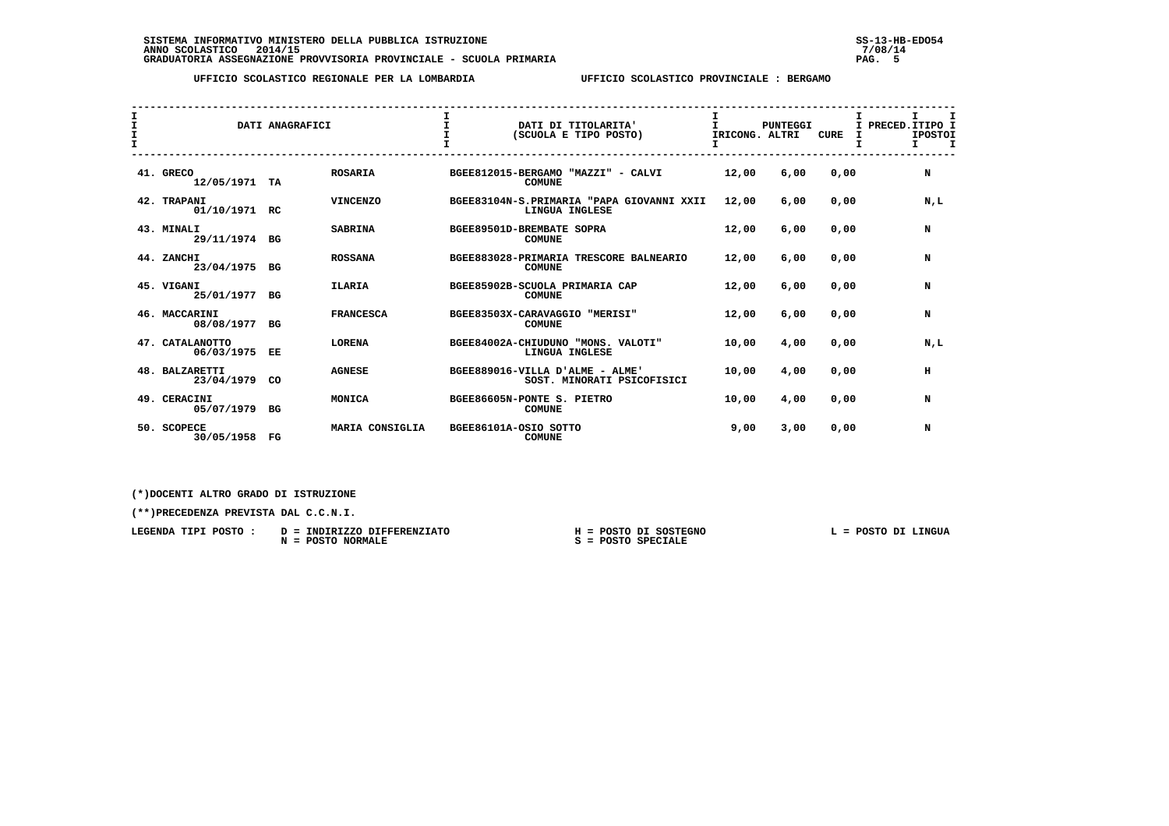| $\mathbf{I}$<br>I.<br>$\mathbf{T}$ |                                 | DATI ANAGRAFICI |                  | $\mathbf{I}$ | DATI DI TITOLARITA'<br>(SCUOLA E TIPO POSTO)                  | T.<br>IRICONG. ALTRI | <b>PUNTEGGI</b> | <b>CURE</b> | I.<br>I PRECED. ITIPO I<br><b>IPOSTOI</b><br>$\mathbf{T}$<br>T. |
|------------------------------------|---------------------------------|-----------------|------------------|--------------|---------------------------------------------------------------|----------------------|-----------------|-------------|-----------------------------------------------------------------|
|                                    | 41. GRECO<br>12/05/1971 TA      |                 | <b>ROSARIA</b>   |              | BGEE812015-BERGAMO "MAZZI" - CALVI<br><b>COMUNE</b>           | 12,00                | 6,00            | 0.00        | N                                                               |
|                                    | 42. TRAPANI<br>01/10/1971 RC    |                 | <b>VINCENZO</b>  |              | BGEE83104N-S.PRIMARIA "PAPA GIOVANNI XXII<br>LINGUA INGLESE   | 12,00                | 6,00            | 0,00        | N,L                                                             |
|                                    | 43. MINALI<br>29/11/1974 BG     |                 | <b>SABRINA</b>   |              | BGEE89501D-BREMBATE SOPRA<br><b>COMUNE</b>                    | 12,00                | 6,00            | 0,00        | N                                                               |
|                                    | 44. ZANCHI<br>23/04/1975        | BG              | <b>ROSSANA</b>   |              | BGEE883028-PRIMARIA TRESCORE BALNEARIO<br><b>COMUNE</b>       | 12,00                | 6,00            | 0.00        | N                                                               |
|                                    | 45. VIGANI<br>25/01/1977        | BG              | <b>ILARIA</b>    |              | BGEE85902B-SCUOLA PRIMARIA CAP<br><b>COMUNE</b>               | 12,00                | 6,00            | 0,00        | N                                                               |
|                                    | 46. MACCARINI<br>08/08/1977     | BG              | <b>FRANCESCA</b> |              | BGEE83503X-CARAVAGGIO "MERISI"<br><b>COMUNE</b>               | 12,00                | 6,00            | 0,00        | N                                                               |
|                                    | 47. CATALANOTTO<br>06/03/1975   | EE              | <b>LORENA</b>    |              | BGEE84002A-CHIUDUNO "MONS, VALOTI"<br>LINGUA INGLESE          | 10,00                | 4,00            | 0,00        | N.L                                                             |
|                                    | 48. BALZARETTI<br>23/04/1979 CO |                 | <b>AGNESE</b>    |              | BGEE889016-VILLA D'ALME - ALME'<br>SOST. MINORATI PSICOFISICI | 10,00                | 4,00            | 0.00        | н                                                               |
|                                    | 49. CERACINI<br>05/07/1979 BG   |                 | MONICA           |              | BGEE86605N-PONTE S. PIETRO<br><b>COMUNE</b>                   | 10,00                | 4,00            | 0,00        | N                                                               |
|                                    | 50. SCOPECE<br>30/05/1958       | $_{\rm FG}$     | MARIA CONSIGLIA  |              | BGEE86101A-OSIO SOTTO<br><b>COMUNE</b>                        | 9,00                 | 3,00            | 0.00        | N                                                               |

 **(\*)DOCENTI ALTRO GRADO DI ISTRUZIONE**

| LEGENDA TIPI<br>POSTO : | INDIRIZZO DIFFERENZIATO<br>$D =$ | POSTO DI SOSTEGNO          | <b>LINGUA</b><br>POSTO DI |
|-------------------------|----------------------------------|----------------------------|---------------------------|
|                         | POSTO NORMALE<br>N               | <b>SPECIALE</b><br>POSTO . |                           |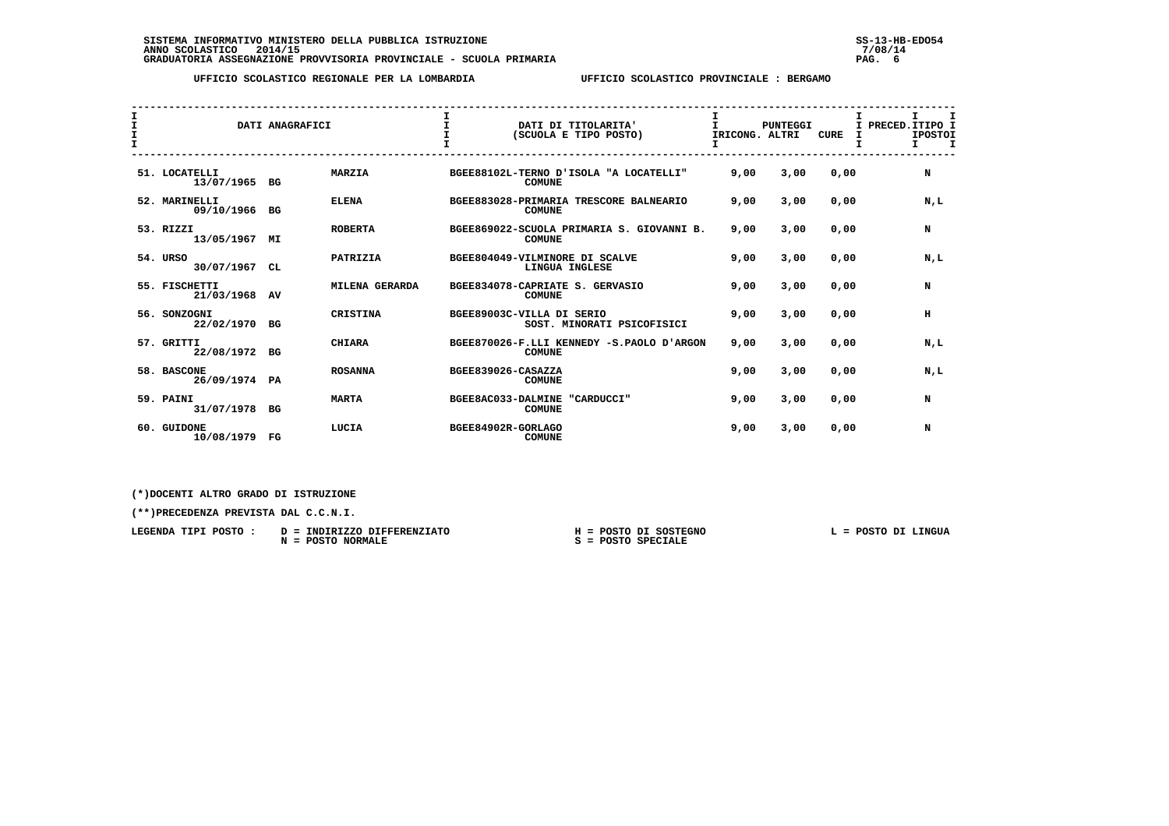| I<br>I<br>$\mathbf{I}$<br>$\mathbf{I}$ |                                | DATI ANAGRAFICI |                | $\mathbf I$        | DATI DI TITOLARITA'<br>(SCUOLA E TIPO POSTO)               | Ι.<br>I.<br>IRICONG. ALTRI | <b>PUNTEGGI</b> | <b>CURE</b> | I.<br>$\mathbf I$<br>I PRECED. ITIPO I<br><b>IPOSTOI</b><br>$\mathbf I$<br>I. |
|----------------------------------------|--------------------------------|-----------------|----------------|--------------------|------------------------------------------------------------|----------------------------|-----------------|-------------|-------------------------------------------------------------------------------|
|                                        | 51. LOCATELLI<br>13/07/1965 BG |                 | <b>MARZIA</b>  |                    | BGEE88102L-TERNO D'ISOLA "A LOCATELLI"<br><b>COMUNE</b>    | 9,00                       | 3,00            | 0,00        | N                                                                             |
|                                        | 52. MARINELLI<br>09/10/1966 BG |                 | <b>ELENA</b>   |                    | BGEE883028-PRIMARIA TRESCORE BALNEARIO<br><b>COMUNE</b>    | 9,00                       | 3,00            | 0,00        | N,L                                                                           |
|                                        | 53. RIZZI<br>13/05/1967        | MΙ              | <b>ROBERTA</b> |                    | BGEE869022-SCUOLA PRIMARIA S. GIOVANNI B.<br><b>COMUNE</b> | 9,00                       | 3,00            | 0,00        | N                                                                             |
|                                        | 54. URSO<br>30/07/1967         | CL              | PATRIZIA       |                    | BGEE804049-VILMINORE DI SCALVE<br>LINGUA INGLESE           | 9,00                       | 3,00            | 0,00        | N.L                                                                           |
|                                        | 55. FISCHETTI<br>21/03/1968    | AV              | MILENA GERARDA |                    | BGEE834078-CAPRIATE S. GERVASIO<br><b>COMUNE</b>           | 9,00                       | 3,00            | 0.00        | N                                                                             |
|                                        | 56. SONZOGNI<br>22/02/1970     | BG              | CRISTINA       |                    | BGEE89003C-VILLA DI SERIO<br>SOST. MINORATI PSICOFISICI    | 9,00                       | 3,00            | 0.00        | н                                                                             |
|                                        | 57. GRITTI<br>22/08/1972 BG    |                 | <b>CHIARA</b>  |                    | BGEE870026-F.LLI KENNEDY -S.PAOLO D'ARGON<br><b>COMUNE</b> | 9,00                       | 3,00            | 0,00        | N.L                                                                           |
|                                        | 58. BASCONE<br>26/09/1974 PA   |                 | <b>ROSANNA</b> | BGEE839026-CASAZZA | <b>COMUNE</b>                                              | 9,00                       | 3,00            | 0,00        | N,L                                                                           |
|                                        | 59. PAINI<br>31/07/1978        | BG              | <b>MARTA</b>   |                    | BGEE8AC033-DALMINE "CARDUCCI"<br><b>COMUNE</b>             | 9,00                       | 3,00            | 0,00        | N                                                                             |
|                                        | 60. GUIDONE<br>10/08/1979      | FG              | LUCIA          | BGEE84902R-GORLAGO | <b>COMUNE</b>                                              | 9,00                       | 3,00            | 0,00        | N                                                                             |

 **(\*)DOCENTI ALTRO GRADO DI ISTRUZIONE**

 **(\*\*)PRECEDENZA PREVISTA DAL C.C.N.I.**

 **LEGENDA TIPI POSTO : D = INDIRIZZO DIFFERENZIATO H = POSTO DI SOSTEGNO L = POSTO DI LINGUA N = POSTO NORMALE S = POSTO SPECIALE**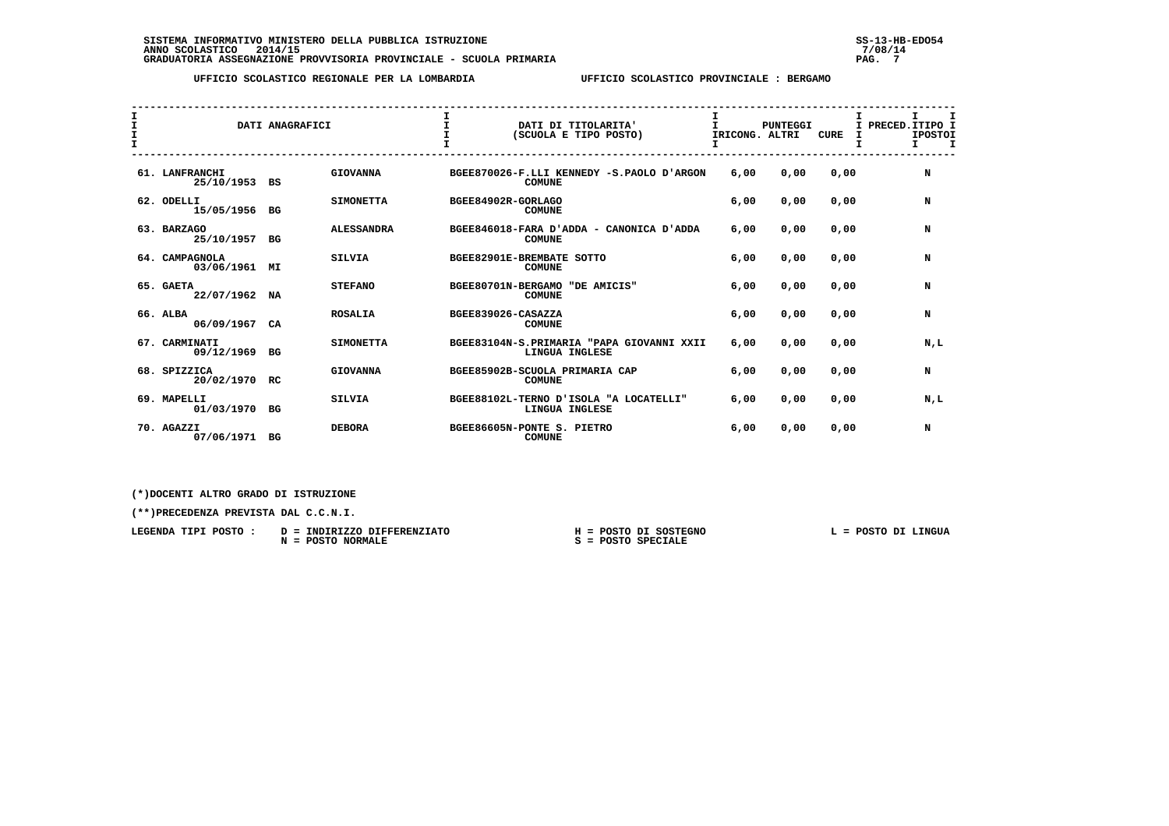| I<br>I.<br>T. |                                 | DATI ANAGRAFICI |                   | $\mathbf{I}$<br>$\mathbf$<br>$\mathbf{r}$ | DATI DI TITOLARITA'<br>(SCUOLA E TIPO POSTO)                | Τ.<br>IRICONG. ALTRI | <b>PUNTEGGI</b> | <b>CURE</b> | I PRECED. ITIPO I | <b>IPOSTOI</b><br>Τ. | I<br>$\mathbf I$ |
|---------------|---------------------------------|-----------------|-------------------|-------------------------------------------|-------------------------------------------------------------|----------------------|-----------------|-------------|-------------------|----------------------|------------------|
|               | 61. LANFRANCHI<br>25/10/1953 BS |                 | <b>GIOVANNA</b>   |                                           | BGEE870026-F.LLI KENNEDY -S.PAOLO D'ARGON<br><b>COMUNE</b>  | 6,00                 | 0.00            | 0.00        |                   | N                    |                  |
|               | 62. ODELLI<br>15/05/1956 BG     |                 | <b>SIMONETTA</b>  | BGEE84902R-GORLAGO                        | <b>COMUNE</b>                                               | 6,00                 | 0.00            | 0,00        |                   | N                    |                  |
|               | 63. BARZAGO<br>25/10/1957       | BG              | <b>ALESSANDRA</b> |                                           | BGEE846018-FARA D'ADDA - CANONICA D'ADDA<br><b>COMUNE</b>   | 6,00                 | 0,00            | 0,00        |                   | N                    |                  |
|               | 64. CAMPAGNOLA<br>03/06/1961    | МI              | <b>SILVIA</b>     |                                           | BGEE82901E-BREMBATE SOTTO<br><b>COMUNE</b>                  | 6,00                 | 0.00            | 0.00        |                   | N                    |                  |
|               | 65. GAETA<br>22/07/1962 NA      |                 | <b>STEFANO</b>    | BGEE80701N-BERGAMO                        | "DE AMICIS"<br><b>COMUNE</b>                                | 6,00                 | 0.00            | 0.00        |                   | N                    |                  |
|               | 66. ALBA<br>06/09/1967          | CA              | <b>ROSALIA</b>    | BGEE839026-CASAZZA                        | <b>COMUNE</b>                                               | 6,00                 | 0,00            | 0,00        |                   | N                    |                  |
|               | 67. CARMINATI<br>09/12/1969     | BG              | <b>SIMONETTA</b>  |                                           | BGEE83104N-S.PRIMARIA "PAPA GIOVANNI XXII<br>LINGUA INGLESE | 6,00                 | 0.00            | 0.00        |                   | N,L                  |                  |
|               | 68. SPIZZICA<br>20/02/1970 RC   |                 | <b>GIOVANNA</b>   |                                           | BGEE85902B-SCUOLA PRIMARIA CAP<br><b>COMUNE</b>             | 6,00                 | 0.00            | 0.00        |                   | N                    |                  |
|               | 69. MAPELLI<br>01/03/1970 BG    |                 | <b>SILVIA</b>     |                                           | BGEE88102L-TERNO D'ISOLA "A LOCATELLI"<br>LINGUA INGLESE    | 6,00                 | 0.00            | 0,00        |                   | N,L                  |                  |
|               | 70. AGAZZI<br>07/06/1971 BG     |                 | <b>DEBORA</b>     |                                           | BGEE86605N-PONTE S. PIETRO<br><b>COMUNE</b>                 | 6,00                 | 0.00            | 0.00        |                   | N                    |                  |

 **(\*)DOCENTI ALTRO GRADO DI ISTRUZIONE**

| LEGENDA TIPI POSTO | INDIRIZZO DIFFERENZIATO<br>$D =$ | POSTO DI SOSTEGNO        | POSTO DI LINGUA |
|--------------------|----------------------------------|--------------------------|-----------------|
|                    | POSTO NORMALE<br>$N =$           | <b>SPECIALE</b><br>POSTO |                 |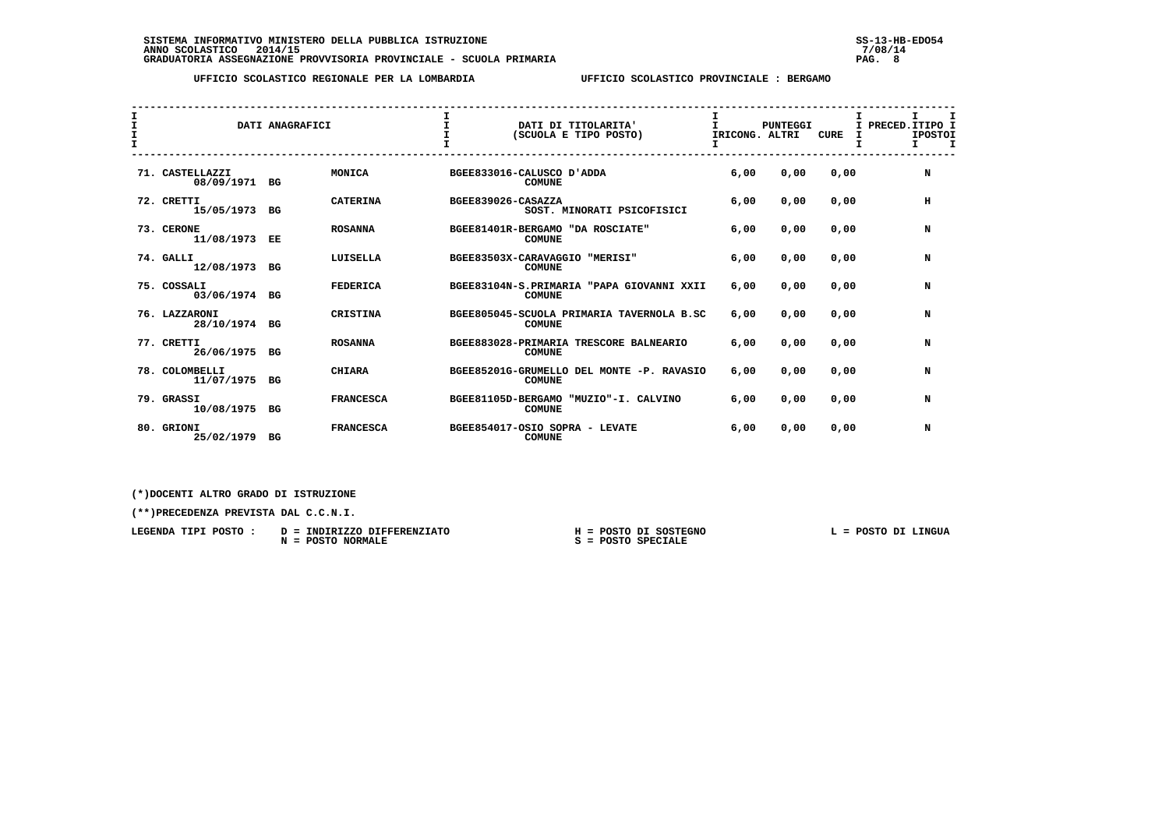| $\mathbf{I}$<br>$\mathbf{I}$<br>$\mathbf{I}$ |                               | DATI ANAGRAFICI |                  | $\mathbf{I}$              |               | DATI DI TITOLARITA'<br>(SCUOLA E TIPO POSTO) | T.<br>IRICONG. ALTRI | <b>PUNTEGGI</b> | <b>CURE</b> | I.<br>I PRECED. ITIPO I<br>Τ. | <b>IPOSTOI</b><br>$\mathbf{T}$ |
|----------------------------------------------|-------------------------------|-----------------|------------------|---------------------------|---------------|----------------------------------------------|----------------------|-----------------|-------------|-------------------------------|--------------------------------|
|                                              | 71. CASTELLAZZI<br>08/09/1971 | BG              | MONICA           | BGEE833016-CALUSCO D'ADDA | <b>COMUNE</b> |                                              | 6,00                 | 0,00            | 0,00        |                               | N                              |
|                                              | 72. CRETTI<br>15/05/1973 BG   |                 | <b>CATERINA</b>  | BGEE839026-CASAZZA        |               | SOST. MINORATI PSICOFISICI                   | 6,00                 | 0,00            | 0,00        |                               | н                              |
|                                              | 73. CERONE<br>11/08/1973      | EE              | <b>ROSANNA</b>   | BGEE81401R-BERGAMO        | <b>COMUNE</b> | "DA ROSCIATE"                                | 6,00                 | 0,00            | 0,00        |                               | N                              |
|                                              | 74. GALLI<br>12/08/1973       | BG              | LUISELLA         | BGEE83503X-CARAVAGGIO     | <b>COMUNE</b> | "MERISI"                                     | 6,00                 | 0.00            | 0.00        |                               | N                              |
|                                              | 75. COSSALI<br>03/06/1974 BG  |                 | <b>FEDERICA</b>  |                           | <b>COMUNE</b> | BGEE83104N-S.PRIMARIA "PAPA GIOVANNI XXII    | 6,00                 | 0.00            | 0.00        |                               | N                              |
|                                              | 76. LAZZARONI<br>28/10/1974   | BG              | CRISTINA         |                           | <b>COMUNE</b> | BGEE805045-SCUOLA PRIMARIA TAVERNOLA B.SC    | 6,00                 | 0,00            | 0,00        |                               | N                              |
|                                              | 77. CRETTI<br>26/06/1975 BG   |                 | <b>ROSANNA</b>   |                           | <b>COMUNE</b> | BGEE883028-PRIMARIA TRESCORE BALNEARIO       | 6,00                 | 0,00            | 0,00        |                               | N                              |
|                                              | 78. COLOMBELLI<br>11/07/1975  | BG              | <b>CHIARA</b>    |                           | <b>COMUNE</b> | BGEE85201G-GRUMELLO DEL MONTE -P. RAVASIO    | 6,00                 | 0,00            | 0,00        |                               | N                              |
|                                              | 79. GRASSI<br>10/08/1975 BG   |                 | <b>FRANCESCA</b> |                           | <b>COMUNE</b> | BGEE81105D-BERGAMO "MUZIO"-I, CALVINO        | 6,00                 | 0.00            | 0.00        |                               | N                              |
|                                              | 80. GRIONI<br>25/02/1979      | BG              | <b>FRANCESCA</b> |                           | <b>COMUNE</b> | BGEE854017-OSIO SOPRA - LEVATE               | 6,00                 | 0.00            | 0,00        |                               | N                              |

 **(\*)DOCENTI ALTRO GRADO DI ISTRUZIONE**

| LEGENDA TIPI POSTO: | INDIRIZZO DIFFERENZIATO<br>$D =$ | POSTO DI SOSTEGNO | POSTO DI LINGUA |
|---------------------|----------------------------------|-------------------|-----------------|
|                     | POSTO NORMALE<br>$N =$           | POSTO SPECIALE    |                 |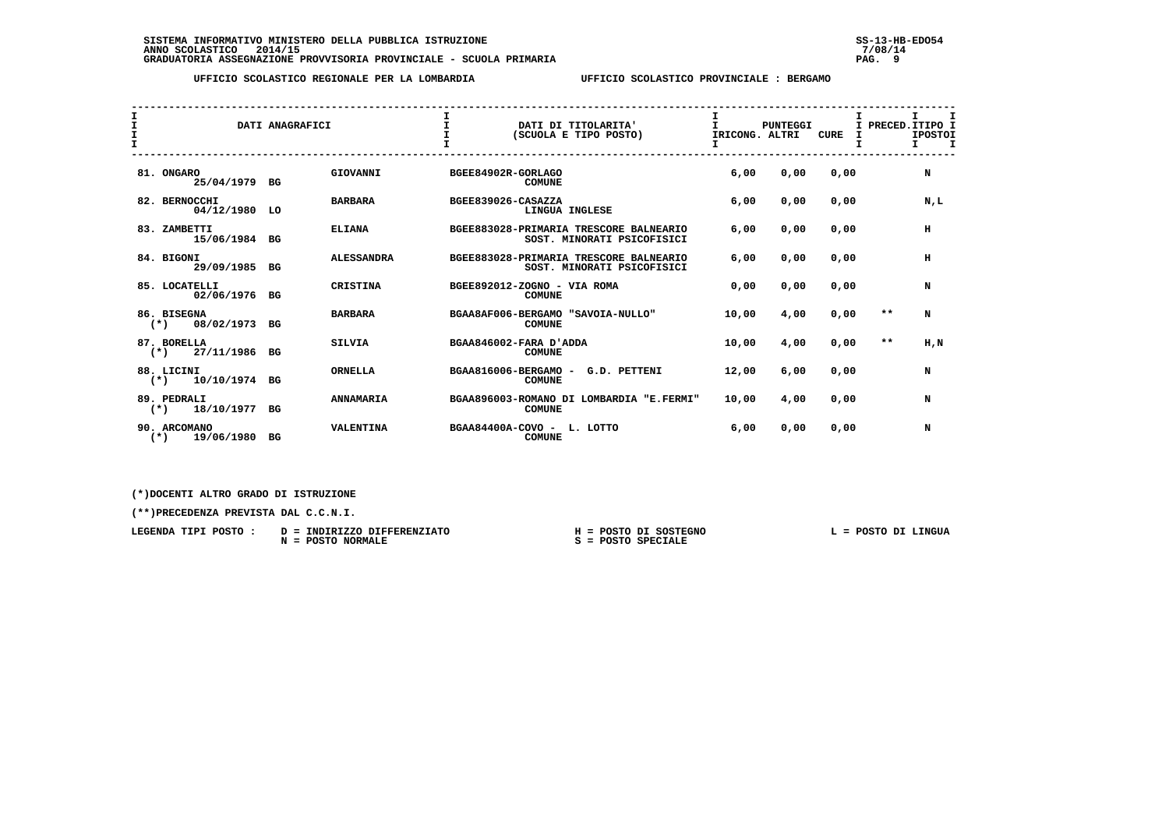| I<br>$\mathbf{I}$<br>T. |                                     | DATI ANAGRAFICI |                   | $\mathbf{T}$                |               | DATI DI TITOLARITA'<br>(SCUOLA E TIPO POSTO)                         | T.<br>IRICONG. ALTRI | <b>PUNTEGGI</b> | <b>CURE</b> | I.    | I.<br>I PRECED. ITIPO I<br><b>IPOSTOI</b><br>$\mathbf{r}$<br>T |
|-------------------------|-------------------------------------|-----------------|-------------------|-----------------------------|---------------|----------------------------------------------------------------------|----------------------|-----------------|-------------|-------|----------------------------------------------------------------|
|                         | 81. ONGARO<br>25/04/1979 BG         |                 | GIOVANNI          | BGEE84902R-GORLAGO          | <b>COMUNE</b> |                                                                      | 6,00                 | 0,00            | 0,00        |       | N                                                              |
|                         | 82. BERNOCCHI<br>04/12/1980 LO      |                 | <b>BARBARA</b>    | BGEE839026-CASAZZA          |               | LINGUA INGLESE                                                       | 6,00                 | 0,00            | 0,00        |       | N,L                                                            |
|                         | 83. ZAMBETTI<br>15/06/1984 BG       |                 | <b>ELIANA</b>     |                             |               | BGEE883028-PRIMARIA TRESCORE BALNEARIO<br>SOST. MINORATI PSICOFISICI | 6,00                 | 0,00            | 0,00        |       | н                                                              |
|                         | 84. BIGONI<br>29/09/1985 BG         |                 | <b>ALESSANDRA</b> |                             |               | BGEE883028-PRIMARIA TRESCORE BALNEARIO<br>SOST. MINORATI PSICOFISICI | 6,00                 | 0,00            | 0.00        |       | H                                                              |
|                         | 85. LOCATELLI<br>02/06/1976 BG      |                 | <b>CRISTINA</b>   | BGEE892012-ZOGNO - VIA ROMA | <b>COMUNE</b> |                                                                      | 0.00                 | 0.00            | 0.00        |       | N                                                              |
|                         | 86. BISEGNA<br>$(*)$ 08/02/1973 BG  |                 | <b>BARBARA</b>    |                             | <b>COMUNE</b> | BGAA8AF006-BERGAMO "SAVOIA-NULLO"                                    | 10,00                | 4,00            | 0.00        | $***$ | N                                                              |
|                         | 87. BORELLA<br>$(*)$ 27/11/1986 BG  |                 | <b>SILVIA</b>     | BGAA846002-FARA D'ADDA      | <b>COMUNE</b> |                                                                      | 10,00                | 4,00            | 0,00        | $***$ | H.N                                                            |
|                         | 88. LICINI<br>$(*)$ 10/10/1974 BG   |                 | <b>ORNELLA</b>    | BGAA816006-BERGAMO -        | <b>COMUNE</b> | G.D. PETTENI                                                         | 12,00                | 6,00            | 0,00        |       | N                                                              |
|                         | 89. PEDRALI<br>$(*)$ 18/10/1977 BG  |                 | <b>ANNAMARIA</b>  |                             | <b>COMUNE</b> | BGAA896003-ROMANO DI LOMBARDIA "E.FERMI"                             | 10,00                | 4,00            | 0,00        |       | N                                                              |
|                         | 90. ARCOMANO<br>19/06/1980<br>$(*)$ | BG              | VALENTINA         | BGAA84400A-COVO - L. LOTTO  | <b>COMUNE</b> |                                                                      | 6,00                 | 0,00            | 0,00        |       | N                                                              |

 **(\*)DOCENTI ALTRO GRADO DI ISTRUZIONE**

 **(\*\*)PRECEDENZA PREVISTA DAL C.C.N.I.**

 **LEGENDA TIPI POSTO : D = INDIRIZZO DIFFERENZIATO H = POSTO DI SOSTEGNO L = POSTO DI LINGUA N = POSTO NORMALE S = POSTO SPECIALE**